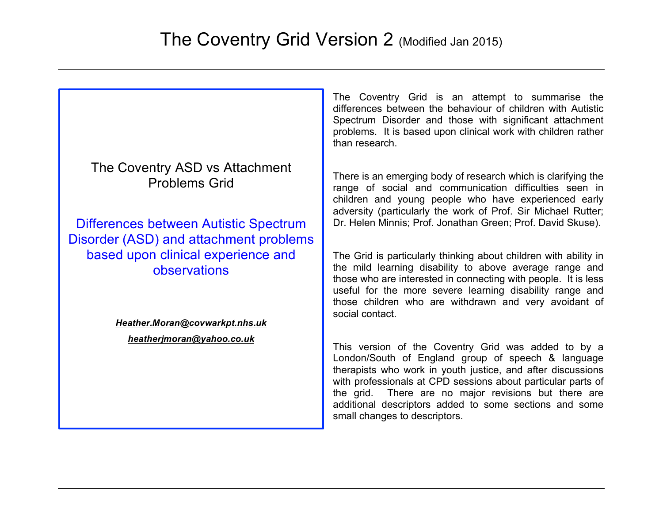The Coventry Grid is an attempt to summarise the differences between the behaviour of children with Autistic Spectrum Disorder and those with significant attachment problems. It is based upon clinical work with children rather than research. There is an emerging body of research which is clarifying the range of social and communication difficulties seen in children and young people who have experienced early adversity (particularly the work of Prof. Sir Michael Rutter; Dr. Helen Minnis; Prof. Jonathan Green; Prof. David Skuse). The Grid is particularly thinking about children with ability in the mild learning disability to above average range and those who are interested in connecting with people. It is less useful for the more severe learning disability range and those children who are withdrawn and very avoidant of social contact. The Coventry ASD vs Attachment Problems Grid Differences between Autistic Spectrum Disorder (ASD) and attachment problems based upon clinical experience and observations *Heather.Moran@covwarkpt.nhs.uk heatherjmoran@yahoo.co.uk*

This version of the Coventry Grid was added to by a London/South of England group of speech & language therapists who work in youth justice, and after discussions with professionals at CPD sessions about particular parts of the grid. There are no major revisions but there are additional descriptors added to some sections and some small changes to descriptors.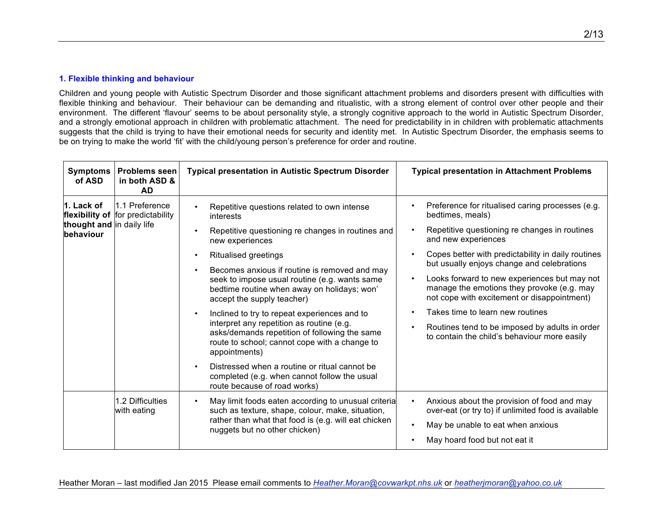#### **1. Flexible thinking and behaviour**

Children and young people with Autistic Spectrum Disorder and those significant attachment problems and disorders present with difficulties with flexible thinking and behaviour. Their behaviour can be demanding and ritualistic, with a strong element of control over other people and their environment. The different 'flavour' seems to be about personality style, a strongly cognitive approach to the world in Autistic Spectrum Disorder, and a strongly emotional approach in children with problematic attachment. The need for predictability in in children with problematic attachments suggests that the child is trying to have their emotional needs for security and identity met. In Autistic Spectrum Disorder, the emphasis seems to be on trying to make the world 'fit' with the child/young person's preference for order and routine.

| <b>Symptoms</b><br>of ASD                            | <b>Problems seen</b><br>in both ASD &<br><b>AD</b>  | <b>Typical presentation in Autistic Spectrum Disorder</b>                                                                                                                                                                                                                                                                                                                                                                                                                                                                                                                                                                                                                        | <b>Typical presentation in Attachment Problems</b>                                                                                                                                                                                                                                                                                                                                                                                                                                                                                               |
|------------------------------------------------------|-----------------------------------------------------|----------------------------------------------------------------------------------------------------------------------------------------------------------------------------------------------------------------------------------------------------------------------------------------------------------------------------------------------------------------------------------------------------------------------------------------------------------------------------------------------------------------------------------------------------------------------------------------------------------------------------------------------------------------------------------|--------------------------------------------------------------------------------------------------------------------------------------------------------------------------------------------------------------------------------------------------------------------------------------------------------------------------------------------------------------------------------------------------------------------------------------------------------------------------------------------------------------------------------------------------|
| 1. Lack of<br>thought and in daily life<br>behaviour | 1.1 Preference<br>flexibility of for predictability | Repetitive questions related to own intense<br>$\bullet$<br>interests<br>Repetitive questioning re changes in routines and<br>new experiences<br><b>Ritualised greetings</b><br>$\bullet$<br>Becomes anxious if routine is removed and may<br>$\bullet$<br>seek to impose usual routine (e.g. wants same<br>bedtime routine when away on holidays; won'<br>accept the supply teacher)<br>Inclined to try to repeat experiences and to<br>$\bullet$<br>interpret any repetition as routine (e.g.<br>asks/demands repetition of following the same<br>route to school; cannot cope with a change to<br>appointments)<br>Distressed when a routine or ritual cannot be<br>$\bullet$ | Preference for ritualised caring processes (e.g.<br>bedtimes, meals)<br>Repetitive questioning re changes in routines<br>and new experiences<br>Copes better with predictability in daily routines<br>but usually enjoys change and celebrations<br>Looks forward to new experiences but may not<br>$\bullet$<br>manage the emotions they provoke (e.g. may<br>not cope with excitement or disappointment)<br>Takes time to learn new routines<br>Routines tend to be imposed by adults in order<br>to contain the child's behaviour more easily |
|                                                      |                                                     | completed (e.g. when cannot follow the usual<br>route because of road works)                                                                                                                                                                                                                                                                                                                                                                                                                                                                                                                                                                                                     |                                                                                                                                                                                                                                                                                                                                                                                                                                                                                                                                                  |
|                                                      | 1.2 Difficulties<br>with eating                     | May limit foods eaten according to unusual criteria<br>$\bullet$<br>such as texture, shape, colour, make, situation,                                                                                                                                                                                                                                                                                                                                                                                                                                                                                                                                                             | Anxious about the provision of food and may<br>$\bullet$<br>over-eat (or try to) if unlimited food is available                                                                                                                                                                                                                                                                                                                                                                                                                                  |
|                                                      |                                                     | rather than what that food is (e.g. will eat chicken<br>nuggets but no other chicken)                                                                                                                                                                                                                                                                                                                                                                                                                                                                                                                                                                                            | May be unable to eat when anxious<br>$\bullet$                                                                                                                                                                                                                                                                                                                                                                                                                                                                                                   |
|                                                      |                                                     |                                                                                                                                                                                                                                                                                                                                                                                                                                                                                                                                                                                                                                                                                  | May hoard food but not eat it                                                                                                                                                                                                                                                                                                                                                                                                                                                                                                                    |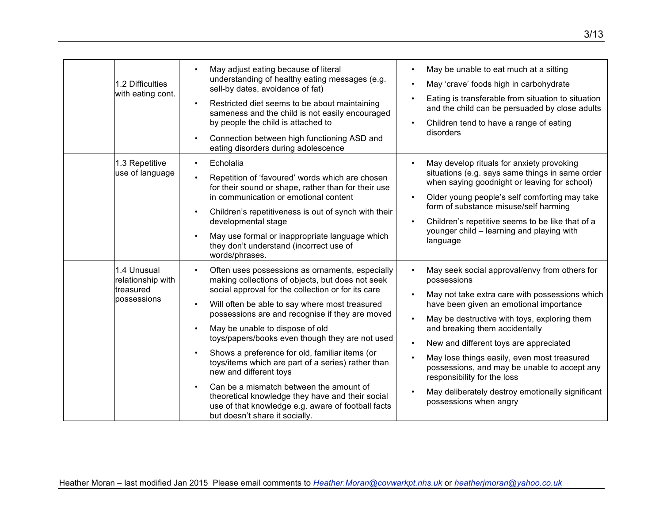| 1.2 Difficulties<br>with eating cont.                        | May adjust eating because of literal<br>May be unable to eat much at a sitting<br>understanding of healthy eating messages (e.g.<br>May 'crave' foods high in carbohydrate<br>sell-by dates, avoidance of fat)<br>Eating is transferable from situation to situation<br>Restricted diet seems to be about maintaining<br>$\bullet$<br>and the child can be persuaded by close adults<br>sameness and the child is not easily encouraged<br>by people the child is attached to<br>Children tend to have a range of eating<br>disorders<br>Connection between high functioning ASD and<br>$\bullet$<br>eating disorders during adolescence                                                                                                                                                                                                                                                                                                                                                                                                                                                                                                                                                                                               |
|--------------------------------------------------------------|----------------------------------------------------------------------------------------------------------------------------------------------------------------------------------------------------------------------------------------------------------------------------------------------------------------------------------------------------------------------------------------------------------------------------------------------------------------------------------------------------------------------------------------------------------------------------------------------------------------------------------------------------------------------------------------------------------------------------------------------------------------------------------------------------------------------------------------------------------------------------------------------------------------------------------------------------------------------------------------------------------------------------------------------------------------------------------------------------------------------------------------------------------------------------------------------------------------------------------------|
| 1.3 Repetitive<br>use of language                            | May develop rituals for anxiety provoking<br>Echolalia<br>$\bullet$<br>situations (e.g. says same things in same order<br>Repetition of 'favoured' words which are chosen<br>$\bullet$<br>when saying goodnight or leaving for school)<br>for their sound or shape, rather than for their use<br>in communication or emotional content<br>Older young people's self comforting may take<br>form of substance misuse/self harming<br>Children's repetitiveness is out of synch with their<br>$\bullet$<br>Children's repetitive seems to be like that of a<br>developmental stage<br>younger child - learning and playing with<br>May use formal or inappropriate language which<br>language<br>they don't understand (incorrect use of<br>words/phrases.                                                                                                                                                                                                                                                                                                                                                                                                                                                                               |
| 1.4 Unusual<br>relationship with<br>treasured<br>possessions | May seek social approval/envy from others for<br>Often uses possessions as ornaments, especially<br>$\bullet$<br>$\bullet$<br>making collections of objects, but does not seek<br>possessions<br>social approval for the collection or for its care<br>May not take extra care with possessions which<br>have been given an emotional importance<br>Will often be able to say where most treasured<br>$\bullet$<br>possessions are and recognise if they are moved<br>May be destructive with toys, exploring them<br>May be unable to dispose of old<br>and breaking them accidentally<br>$\bullet$<br>toys/papers/books even though they are not used<br>New and different toys are appreciated<br>Shows a preference for old, familiar items (or<br>May lose things easily, even most treasured<br>toys/items which are part of a series) rather than<br>possessions, and may be unable to accept any<br>new and different toys<br>responsibility for the loss<br>Can be a mismatch between the amount of<br>May deliberately destroy emotionally significant<br>theoretical knowledge they have and their social<br>possessions when angry<br>use of that knowledge e.g. aware of football facts<br>but doesn't share it socially. |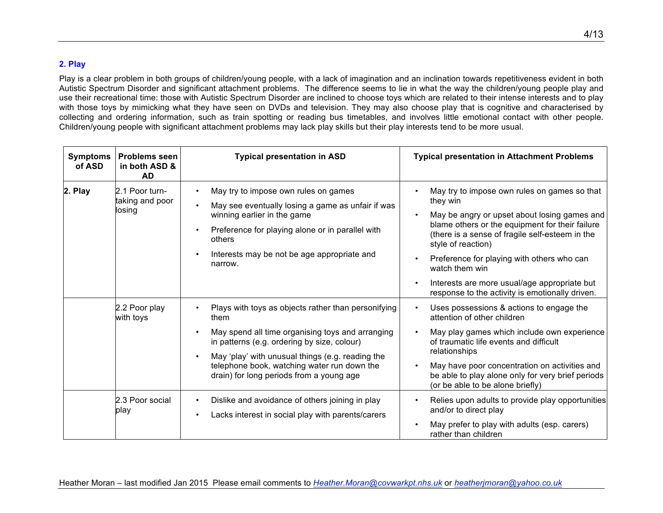## **2. Play**

Play is a clear problem in both groups of children/young people, with a lack of imagination and an inclination towards repetitiveness evident in both Autistic Spectrum Disorder and significant attachment problems. The difference seems to lie in what the way the children/young people play and use their recreational time: those with Autistic Spectrum Disorder are inclined to choose toys which are related to their intense interests and to play with those toys by mimicking what they have seen on DVDs and television. They may also choose play that is cognitive and characterised by collecting and ordering information, such as train spotting or reading bus timetables, and involves little emotional contact with other people. Children/young people with significant attachment problems may lack play skills but their play interests tend to be more usual.

| <b>Symptoms</b><br>of ASD | <b>Problems seen</b><br>in both ASD &<br><b>AD</b> | <b>Typical presentation in ASD</b>                                                                                                                                                                                                                                                                                                                   | <b>Typical presentation in Attachment Problems</b>                                                                                                                                                                                                                                                                                                                                                                                                          |
|---------------------------|----------------------------------------------------|------------------------------------------------------------------------------------------------------------------------------------------------------------------------------------------------------------------------------------------------------------------------------------------------------------------------------------------------------|-------------------------------------------------------------------------------------------------------------------------------------------------------------------------------------------------------------------------------------------------------------------------------------------------------------------------------------------------------------------------------------------------------------------------------------------------------------|
| 2. Play                   | 2.1 Poor turn-<br>taking and poor<br>losing        | May try to impose own rules on games<br>$\bullet$<br>May see eventually losing a game as unfair if was<br>$\bullet$<br>winning earlier in the game<br>Preference for playing alone or in parallel with<br>$\bullet$<br>others<br>Interests may be not be age appropriate and<br>$\bullet$<br>narrow.                                                 | May try to impose own rules on games so that<br>$\bullet$<br>they win<br>May be angry or upset about losing games and<br>$\bullet$<br>blame others or the equipment for their failure<br>(there is a sense of fragile self-esteem in the<br>style of reaction)<br>Preference for playing with others who can<br>$\bullet$<br>watch them win<br>Interests are more usual/age appropriate but<br>$\bullet$<br>response to the activity is emotionally driven. |
|                           | 2.2 Poor play<br>with toys                         | Plays with toys as objects rather than personifying<br>$\bullet$<br>them<br>May spend all time organising toys and arranging<br>$\bullet$<br>in patterns (e.g. ordering by size, colour)<br>May 'play' with unusual things (e.g. reading the<br>$\bullet$<br>telephone book, watching water run down the<br>drain) for long periods from a young age | Uses possessions & actions to engage the<br>$\bullet$<br>attention of other children<br>May play games which include own experience<br>$\bullet$<br>of traumatic life events and difficult<br>relationships<br>May have poor concentration on activities and<br>$\bullet$<br>be able to play alone only for very brief periods<br>(or be able to be alone briefly)                                                                                          |
|                           | 2.3 Poor social<br>play                            | Dislike and avoidance of others joining in play<br>$\bullet$<br>Lacks interest in social play with parents/carers<br>$\bullet$                                                                                                                                                                                                                       | Relies upon adults to provide play opportunities<br>$\bullet$<br>and/or to direct play<br>May prefer to play with adults (esp. carers)<br>rather than children                                                                                                                                                                                                                                                                                              |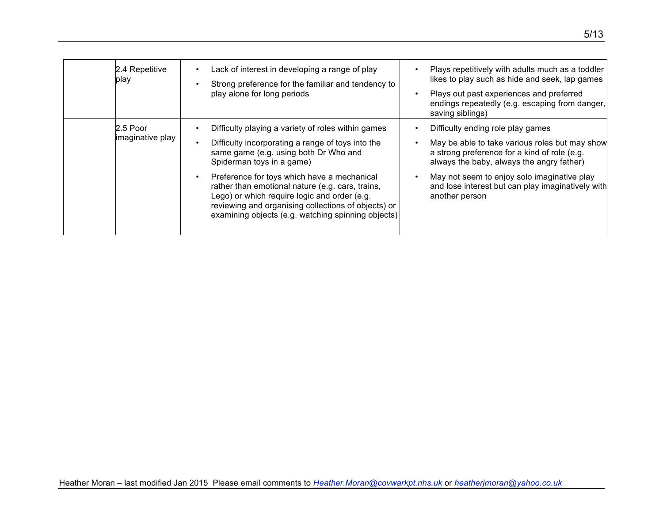| 2.4 Repetitive<br>play         | Lack of interest in developing a range of play<br>Strong preference for the familiar and tendency to<br>play alone for long periods                                                                                                                          | Plays repetitively with adults much as a toddler<br>likes to play such as hide and seek, lap games<br>Plays out past experiences and preferred<br>endings repeatedly (e.g. escaping from danger,<br>saving siblings) |
|--------------------------------|--------------------------------------------------------------------------------------------------------------------------------------------------------------------------------------------------------------------------------------------------------------|----------------------------------------------------------------------------------------------------------------------------------------------------------------------------------------------------------------------|
| $2.5$ Poor<br>imaginative play | Difficulty playing a variety of roles within games<br>Difficulty incorporating a range of toys into the<br>same game (e.g. using both Dr Who and<br>Spiderman toys in a game)                                                                                | Difficulty ending role play games<br>May be able to take various roles but may show<br>a strong preference for a kind of role (e.g.<br>always the baby, always the angry father)                                     |
|                                | Preference for toys which have a mechanical<br>rather than emotional nature (e.g. cars, trains,<br>Lego) or which require logic and order (e.g.<br>reviewing and organising collections of objects) or<br>examining objects (e.g. watching spinning objects) | May not seem to enjoy solo imaginative play<br>and lose interest but can play imaginatively with<br>another person                                                                                                   |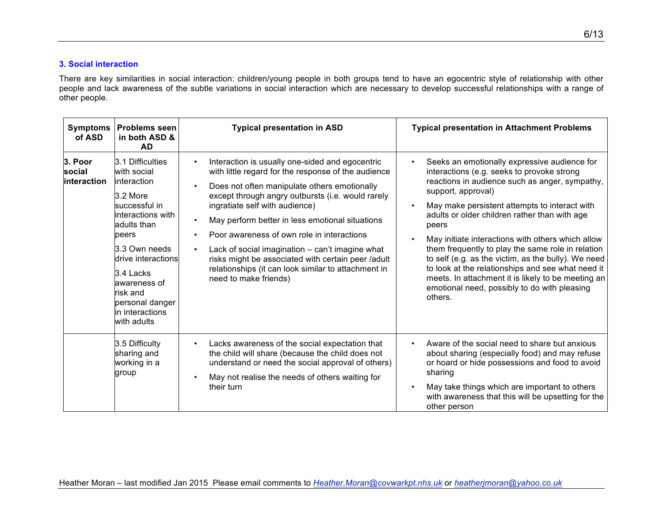### **3. Social interaction**

There are key similarities in social interaction: children/young people in both groups tend to have an egocentric style of relationship with other people and lack awareness of the subtle variations in social interaction which are necessary to develop successful relationships with a range of other people.

| <b>Symptoms</b><br>of ASD        | <b>Problems seen</b><br>in both ASD &<br><b>AD</b>                                                                                                                                                                                                             | <b>Typical presentation in ASD</b>                                                                                                                                                                                                                                                                                                                                                                                                                                                                                                                                                          | <b>Typical presentation in Attachment Problems</b>                                                                                                                                                                                                                                                                                                                                                                                                                                                                                                                                                                   |
|----------------------------------|----------------------------------------------------------------------------------------------------------------------------------------------------------------------------------------------------------------------------------------------------------------|---------------------------------------------------------------------------------------------------------------------------------------------------------------------------------------------------------------------------------------------------------------------------------------------------------------------------------------------------------------------------------------------------------------------------------------------------------------------------------------------------------------------------------------------------------------------------------------------|----------------------------------------------------------------------------------------------------------------------------------------------------------------------------------------------------------------------------------------------------------------------------------------------------------------------------------------------------------------------------------------------------------------------------------------------------------------------------------------------------------------------------------------------------------------------------------------------------------------------|
| 3. Poor<br>social<br>interaction | 3.1 Difficulties<br>with social<br>linteraction<br>3.2 More<br>successful in<br>interactions with<br>adults than<br>peers<br>3.3 Own needs<br>drive interactions<br>3.4 Lacks<br>awareness of<br>risk and<br>personal danger<br>in interactions<br>with adults | Interaction is usually one-sided and egocentric<br>$\bullet$<br>with little regard for the response of the audience<br>Does not often manipulate others emotionally<br>$\bullet$<br>except through angry outbursts (i.e. would rarely<br>ingratiate self with audience)<br>May perform better in less emotional situations<br>$\bullet$<br>Poor awareness of own role in interactions<br>Lack of social imagination - can't imagine what<br>$\bullet$<br>risks might be associated with certain peer /adult<br>relationships (it can look similar to attachment in<br>need to make friends) | Seeks an emotionally expressive audience for<br>interactions (e.g. seeks to provoke strong<br>reactions in audience such as anger, sympathy,<br>support, approval)<br>May make persistent attempts to interact with<br>adults or older children rather than with age<br>peers<br>May initiate interactions with others which allow<br>them frequently to play the same role in relation<br>to self (e.g. as the victim, as the bully). We need<br>to look at the relationships and see what need it<br>meets. In attachment it is likely to be meeting an<br>emotional need, possibly to do with pleasing<br>others. |
|                                  | 3.5 Difficulty<br>sharing and<br>working in a<br>group                                                                                                                                                                                                         | Lacks awareness of the social expectation that<br>$\bullet$<br>the child will share (because the child does not<br>understand or need the social approval of others)<br>May not realise the needs of others waiting for<br>$\bullet$<br>their turn                                                                                                                                                                                                                                                                                                                                          | Aware of the social need to share but anxious<br>about sharing (especially food) and may refuse<br>or hoard or hide possessions and food to avoid<br>sharing<br>May take things which are important to others<br>with awareness that this will be upsetting for the<br>other person                                                                                                                                                                                                                                                                                                                                  |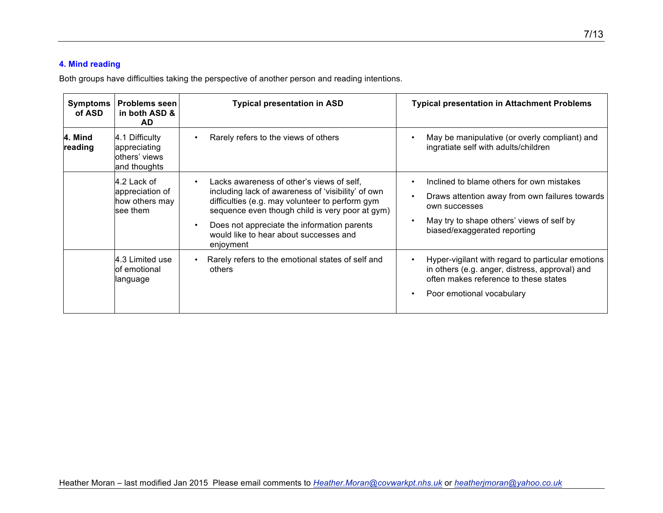## **4. Mind reading**

Both groups have difficulties taking the perspective of another person and reading intentions.

| <b>Symptoms</b><br>of ASD | <b>Problems seen</b><br>in both ASD &<br>AD.                    | <b>Typical presentation in ASD</b>                                                                                                                                                                                                                                                                                                    | <b>Typical presentation in Attachment Problems</b>                                                                                                                                        |
|---------------------------|-----------------------------------------------------------------|---------------------------------------------------------------------------------------------------------------------------------------------------------------------------------------------------------------------------------------------------------------------------------------------------------------------------------------|-------------------------------------------------------------------------------------------------------------------------------------------------------------------------------------------|
| 4. Mind<br>reading        | 4.1 Difficulty<br>appreciating<br>others' views<br>and thoughts | Rarely refers to the views of others                                                                                                                                                                                                                                                                                                  | May be manipulative (or overly compliant) and<br>ingratiate self with adults/children                                                                                                     |
|                           | 4.2 Lack of<br>appreciation of<br>how others may<br>see them    | Lacks awareness of other's views of self.<br>$\bullet$<br>including lack of awareness of 'visibility' of own<br>difficulties (e.g. may volunteer to perform gym<br>sequence even though child is very poor at gym)<br>Does not appreciate the information parents<br>$\bullet$<br>would like to hear about successes and<br>enjoyment | Inclined to blame others for own mistakes<br>Draws attention away from own failures towards<br>own successes<br>May try to shape others' views of self by<br>biased/exaggerated reporting |
|                           | 4.3 Limited use<br>lof emotional<br>llanguage                   | Rarely refers to the emotional states of self and<br>$\bullet$<br>others                                                                                                                                                                                                                                                              | Hyper-vigilant with regard to particular emotions<br>in others (e.g. anger, distress, approval) and<br>often makes reference to these states<br>Poor emotional vocabulary                 |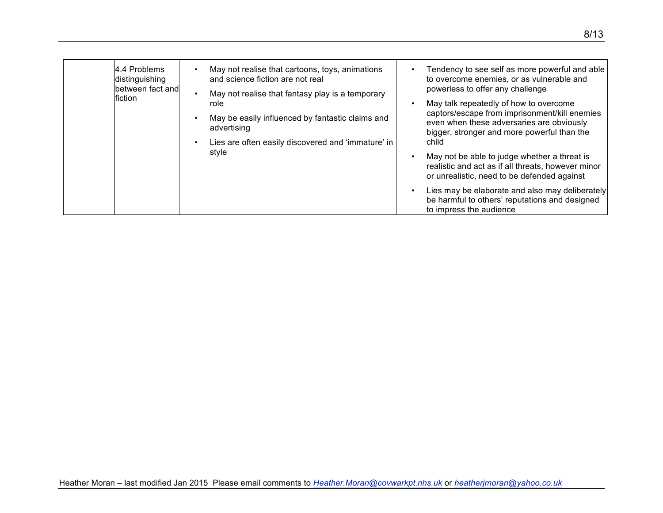| 4.4 Problems<br>distinguishing<br>between fact and<br>fiction | May not realise that cartoons, toys, animations<br>and science fiction are not real<br>May not realise that fantasy play is a temporary | Tendency to see self as more powerful and able<br>to overcome enemies, or as vulnerable and<br>powerless to offer any challenge                   |
|---------------------------------------------------------------|-----------------------------------------------------------------------------------------------------------------------------------------|---------------------------------------------------------------------------------------------------------------------------------------------------|
|                                                               | role                                                                                                                                    | May talk repeatedly of how to overcome                                                                                                            |
|                                                               | May be easily influenced by fantastic claims and<br>$\bullet$<br>advertising                                                            | captors/escape from imprisonment/kill enemies<br>even when these adversaries are obviously<br>bigger, stronger and more powerful than the         |
|                                                               | Lies are often easily discovered and 'immature' in                                                                                      | child                                                                                                                                             |
|                                                               | style                                                                                                                                   | May not be able to judge whether a threat is<br>realistic and act as if all threats, however minor<br>or unrealistic, need to be defended against |
|                                                               |                                                                                                                                         | Lies may be elaborate and also may deliberately<br>be harmful to others' reputations and designed<br>to impress the audience                      |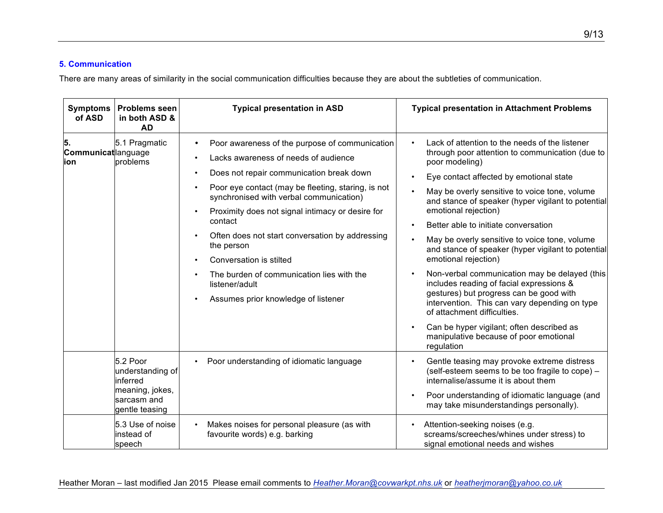#### **5. Communication**

There are many areas of similarity in the social communication difficulties because they are about the subtleties of communication.

| <b>Symptoms</b><br>of ASD         | <b>Problems seen</b><br>in both ASD &<br><b>AD</b>                                           | <b>Typical presentation in ASD</b>                                                                                                                                                                                                                                                                                                                                                                                                                                                                                                               | <b>Typical presentation in Attachment Problems</b>                                                                                                                                                                                                                                                                                                                                                                                                                                                                                                                                                                                                                                                                                                                                                |
|-----------------------------------|----------------------------------------------------------------------------------------------|--------------------------------------------------------------------------------------------------------------------------------------------------------------------------------------------------------------------------------------------------------------------------------------------------------------------------------------------------------------------------------------------------------------------------------------------------------------------------------------------------------------------------------------------------|---------------------------------------------------------------------------------------------------------------------------------------------------------------------------------------------------------------------------------------------------------------------------------------------------------------------------------------------------------------------------------------------------------------------------------------------------------------------------------------------------------------------------------------------------------------------------------------------------------------------------------------------------------------------------------------------------------------------------------------------------------------------------------------------------|
| 15.<br>Communicatlanguage<br>lion | 5.1 Pragmatic<br>problems                                                                    | Poor awareness of the purpose of communication<br>٠<br>Lacks awareness of needs of audience<br>Does not repair communication break down<br>$\bullet$<br>Poor eye contact (may be fleeting, staring, is not<br>$\bullet$<br>synchronised with verbal communication)<br>Proximity does not signal intimacy or desire for<br>$\bullet$<br>contact<br>Often does not start conversation by addressing<br>the person<br>Conversation is stilted<br>The burden of communication lies with the<br>listener/adult<br>Assumes prior knowledge of listener | Lack of attention to the needs of the listener<br>through poor attention to communication (due to<br>poor modeling)<br>Eye contact affected by emotional state<br>May be overly sensitive to voice tone, volume<br>and stance of speaker (hyper vigilant to potential<br>emotional rejection)<br>Better able to initiate conversation<br>May be overly sensitive to voice tone, volume<br>and stance of speaker (hyper vigilant to potential<br>emotional rejection)<br>Non-verbal communication may be delayed (this<br>includes reading of facial expressions &<br>gestures) but progress can be good with<br>intervention. This can vary depending on type<br>of attachment difficulties.<br>Can be hyper vigilant; often described as<br>manipulative because of poor emotional<br>regulation |
|                                   | 5.2 Poor<br>understanding of<br>inferred<br>meaning, jokes,<br>sarcasm and<br>gentle teasing | Poor understanding of idiomatic language<br>$\bullet$                                                                                                                                                                                                                                                                                                                                                                                                                                                                                            | Gentle teasing may provoke extreme distress<br>(self-esteem seems to be too fragile to cope) -<br>internalise/assume it is about them<br>Poor understanding of idiomatic language (and<br>may take misunderstandings personally).                                                                                                                                                                                                                                                                                                                                                                                                                                                                                                                                                                 |
|                                   | 5.3 Use of noise<br>instead of<br>speech                                                     | Makes noises for personal pleasure (as with<br>$\bullet$<br>favourite words) e.g. barking                                                                                                                                                                                                                                                                                                                                                                                                                                                        | Attention-seeking noises (e.g.<br>screams/screeches/whines under stress) to<br>signal emotional needs and wishes                                                                                                                                                                                                                                                                                                                                                                                                                                                                                                                                                                                                                                                                                  |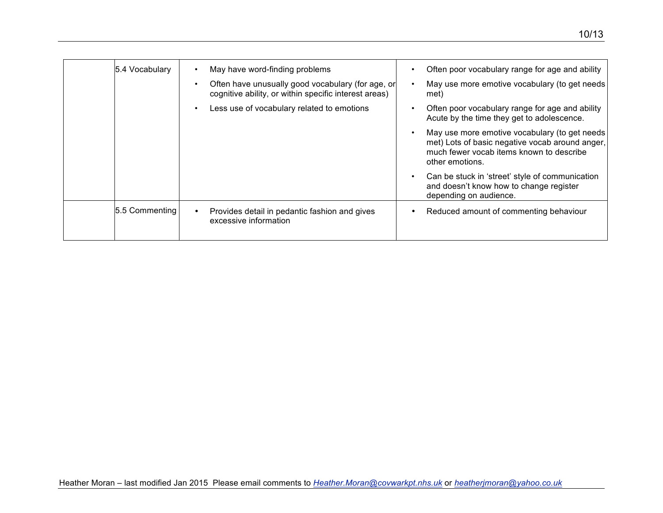| 5.4 Vocabulary | May have word-finding problems                                                                             | Often poor vocabulary range for age and ability                                                                                                                 |
|----------------|------------------------------------------------------------------------------------------------------------|-----------------------------------------------------------------------------------------------------------------------------------------------------------------|
|                | Often have unusually good vocabulary (for age, or<br>cognitive ability, or within specific interest areas) | May use more emotive vocabulary (to get needs<br>met)                                                                                                           |
|                | Less use of vocabulary related to emotions                                                                 | Often poor vocabulary range for age and ability<br>Acute by the time they get to adolescence.                                                                   |
|                |                                                                                                            | May use more emotive vocabulary (to get needs<br>met) Lots of basic negative vocab around anger,<br>much fewer vocab items known to describe<br>other emotions. |
|                |                                                                                                            | Can be stuck in 'street' style of communication<br>and doesn't know how to change register<br>depending on audience.                                            |
| 5.5 Commenting | Provides detail in pedantic fashion and gives<br>excessive information                                     | Reduced amount of commenting behaviour                                                                                                                          |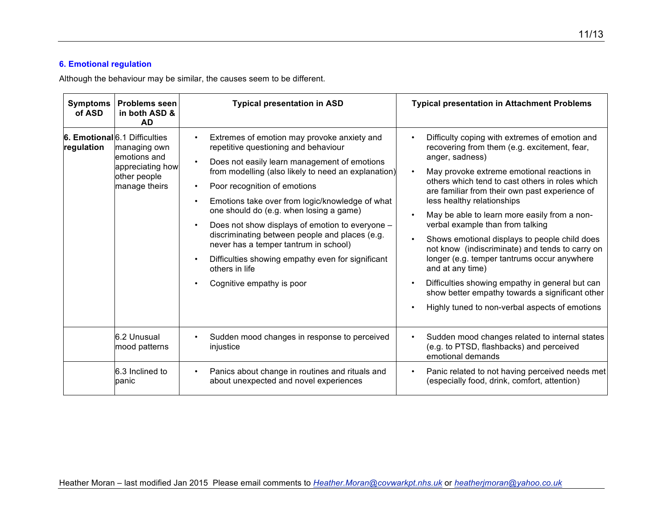## **6. Emotional regulation**

Although the behaviour may be similar, the causes seem to be different.

| <b>Symptoms</b><br>of ASD | <b>Problems seen</b><br>in both ASD &<br><b>AD</b>                                                                  | <b>Typical presentation in ASD</b>                                                                                                                                                                                                                                                                                                                                                                                                                                                                                                                                                                                                          | <b>Typical presentation in Attachment Problems</b>                                                                                                                                                                                                                                                                                                                                                                                                                                                                                                                                                                                                                                                                    |
|---------------------------|---------------------------------------------------------------------------------------------------------------------|---------------------------------------------------------------------------------------------------------------------------------------------------------------------------------------------------------------------------------------------------------------------------------------------------------------------------------------------------------------------------------------------------------------------------------------------------------------------------------------------------------------------------------------------------------------------------------------------------------------------------------------------|-----------------------------------------------------------------------------------------------------------------------------------------------------------------------------------------------------------------------------------------------------------------------------------------------------------------------------------------------------------------------------------------------------------------------------------------------------------------------------------------------------------------------------------------------------------------------------------------------------------------------------------------------------------------------------------------------------------------------|
| regulation                | 6. Emotional 6.1 Difficulties<br>managing own<br>lemotions and<br>appreciating how<br>other people<br>manage theirs | Extremes of emotion may provoke anxiety and<br>$\bullet$<br>repetitive questioning and behaviour<br>Does not easily learn management of emotions<br>$\bullet$<br>from modelling (also likely to need an explanation)<br>Poor recognition of emotions<br>$\bullet$<br>Emotions take over from logic/knowledge of what<br>$\bullet$<br>one should do (e.g. when losing a game)<br>Does not show displays of emotion to everyone -<br>discriminating between people and places (e.g.<br>never has a temper tantrum in school)<br>Difficulties showing empathy even for significant<br>$\bullet$<br>others in life<br>Cognitive empathy is poor | Difficulty coping with extremes of emotion and<br>recovering from them (e.g. excitement, fear,<br>anger, sadness)<br>May provoke extreme emotional reactions in<br>others which tend to cast others in roles which<br>are familiar from their own past experience of<br>less healthy relationships<br>May be able to learn more easily from a non-<br>verbal example than from talking<br>Shows emotional displays to people child does<br>not know (indiscriminate) and tends to carry on<br>longer (e.g. temper tantrums occur anywhere<br>and at any time)<br>Difficulties showing empathy in general but can<br>show better empathy towards a significant other<br>Highly tuned to non-verbal aspects of emotions |
|                           | 6.2 Unusual<br>mood patterns                                                                                        | Sudden mood changes in response to perceived<br>$\bullet$<br>injustice                                                                                                                                                                                                                                                                                                                                                                                                                                                                                                                                                                      | Sudden mood changes related to internal states<br>(e.g. to PTSD, flashbacks) and perceived<br>emotional demands                                                                                                                                                                                                                                                                                                                                                                                                                                                                                                                                                                                                       |
|                           | 6.3 Inclined to<br>panic                                                                                            | Panics about change in routines and rituals and<br>$\bullet$<br>about unexpected and novel experiences                                                                                                                                                                                                                                                                                                                                                                                                                                                                                                                                      | Panic related to not having perceived needs met<br>(especially food, drink, comfort, attention)                                                                                                                                                                                                                                                                                                                                                                                                                                                                                                                                                                                                                       |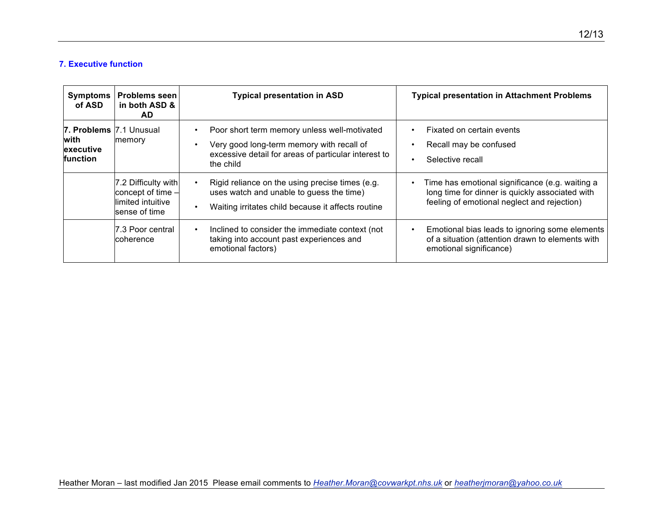#### **7. Executive function**

| <b>Symptoms</b><br>of ASD                                 | <b>Problems seen</b><br>in both ASD &<br>AD.                                    | <b>Typical presentation in ASD</b>                                                                                                                                          | <b>Typical presentation in Attachment Problems</b>                                                                                                |
|-----------------------------------------------------------|---------------------------------------------------------------------------------|-----------------------------------------------------------------------------------------------------------------------------------------------------------------------------|---------------------------------------------------------------------------------------------------------------------------------------------------|
| 7. Problems 7.1 Unusual<br>lwith<br>executive<br>function | memory                                                                          | Poor short term memory unless well-motivated<br>Very good long-term memory with recall of<br>excessive detail for areas of particular interest to<br>the child              | Fixated on certain events<br>Recall may be confused<br>Selective recall                                                                           |
|                                                           | 7.2 Difficulty with<br>concept of time -<br>llimited intuitive<br>sense of time | Rigid reliance on the using precise times (e.g.<br>$\bullet$<br>uses watch and unable to guess the time)<br>Waiting irritates child because it affects routine<br>$\bullet$ | Time has emotional significance (e.g. waiting a<br>long time for dinner is quickly associated with<br>feeling of emotional neglect and rejection) |
|                                                           | 7.3 Poor central<br>coherence                                                   | Inclined to consider the immediate context (not<br>$\bullet$<br>taking into account past experiences and<br>emotional factors)                                              | Emotional bias leads to ignoring some elements<br>of a situation (attention drawn to elements with<br>emotional significance)                     |